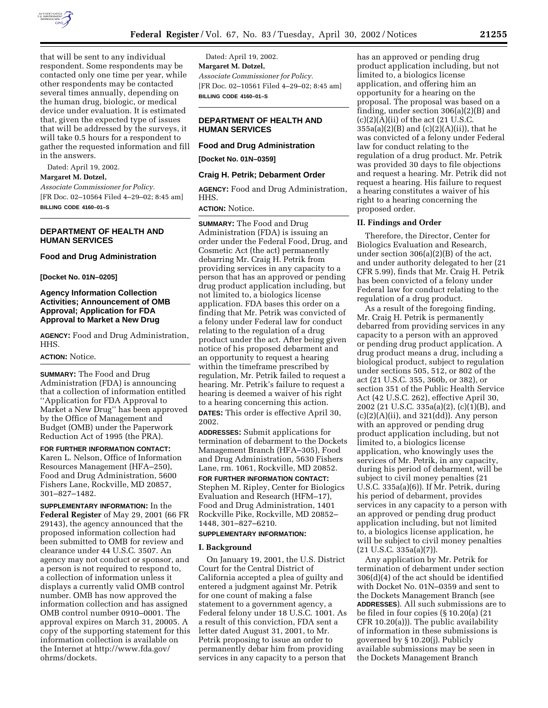

that will be sent to any individual respondent. Some respondents may be contacted only one time per year, while other respondents may be contacted several times annually, depending on the human drug, biologic, or medical device under evaluation. It is estimated that, given the expected type of issues that will be addressed by the surveys, it will take 0.5 hours for a respondent to gather the requested information and fill in the answers.

Dated: April 19, 2002.

## **Margaret M. Dotzel,**

*Associate Commissioner for Policy.* [FR Doc. 02–10564 Filed 4–29–02; 8:45 am] **BILLING CODE 4160–01–S**

### **DEPARTMENT OF HEALTH AND HUMAN SERVICES**

### **Food and Drug Administration**

**[Docket No. 01N–0205]**

# **Agency Information Collection Activities; Announcement of OMB Approval; Application for FDA Approval to Market a New Drug**

**AGENCY:** Food and Drug Administration, HHS.

### **ACTION:** Notice.

**SUMMARY:** The Food and Drug Administration (FDA) is announcing that a collection of information entitled ''Application for FDA Approval to Market a New Drug'' has been approved by the Office of Management and Budget (OMB) under the Paperwork Reduction Act of 1995 (the PRA).

**FOR FURTHER INFORMATION CONTACT:** Karen L. Nelson, Office of Information Resources Management (HFA–250), Food and Drug Administration, 5600 Fishers Lane, Rockville, MD 20857, 301–827–1482.

**SUPPLEMENTARY INFORMATION:** In the **Federal Register** of May 29, 2001 (66 FR 29143), the agency announced that the proposed information collection had been submitted to OMB for review and clearance under 44 U.S.C. 3507. An agency may not conduct or sponsor, and a person is not required to respond to, a collection of information unless it displays a currently valid OMB control number. OMB has now approved the information collection and has assigned OMB control number 0910–0001. The approval expires on March 31, 20005. A copy of the supporting statement for this information collection is available on the Internet at http://www.fda.gov/ ohrms/dockets.

Dated: April 19, 2002. **Margaret M. Dotzel,** *Associate Commissioner for Policy.* [FR Doc. 02–10561 Filed 4–29–02; 8:45 am] **BILLING CODE 4160–01–S**

# **DEPARTMENT OF HEALTH AND HUMAN SERVICES**

# **Food and Drug Administration**

**[Docket No. 01N–0359]**

### **Craig H. Petrik; Debarment Order**

**AGENCY:** Food and Drug Administration, HHS.

#### **ACTION:** Notice.

**SUMMARY:** The Food and Drug Administration (FDA) is issuing an order under the Federal Food, Drug, and Cosmetic Act (the act) permanently debarring Mr. Craig H. Petrik from providing services in any capacity to a person that has an approved or pending drug product application including, but not limited to, a biologics license application. FDA bases this order on a finding that Mr. Petrik was convicted of a felony under Federal law for conduct relating to the regulation of a drug product under the act. After being given notice of his proposed debarment and an opportunity to request a hearing within the timeframe prescribed by regulation, Mr. Petrik failed to request a hearing. Mr. Petrik's failure to request a hearing is deemed a waiver of his right to a hearing concerning this action.

**DATES:** This order is effective April 30, 2002.

**ADDRESSES:** Submit applications for termination of debarment to the Dockets Management Branch (HFA–305), Food and Drug Administration, 5630 Fishers Lane, rm. 1061, Rockville, MD 20852.

### **FOR FURTHER INFORMATION CONTACT:** Stephen M. Ripley, Center for Biologics Evaluation and Research (HFM–17), Food and Drug Administration, 1401 Rockville Pike, Rockville, MD 20852– 1448, 301–827–6210.

#### **SUPPLEMENTARY INFORMATION:**

#### **I. Background**

On January 19, 2001, the U.S. District Court for the Central District of California accepted a plea of guilty and entered a judgment against Mr. Petrik for one count of making a false statement to a government agency, a Federal felony under 18 U.S.C. 1001. As a result of this conviction, FDA sent a letter dated August 31, 2001, to Mr. Petrik proposing to issue an order to permanently debar him from providing services in any capacity to a person that

has an approved or pending drug product application including, but not limited to, a biologics license application, and offering him an opportunity for a hearing on the proposal. The proposal was based on a finding, under section 306(a)(2)(B) and  $(c)(2)(A)(ii)$  of the act  $(21 \text{ U.S.C.})$ 355a(a)(2)(B) and (c)(2)(A)(ii)), that he was convicted of a felony under Federal law for conduct relating to the regulation of a drug product. Mr. Petrik was provided 30 days to file objections and request a hearing. Mr. Petrik did not request a hearing. His failure to request a hearing constitutes a waiver of his right to a hearing concerning the proposed order.

#### **II. Findings and Order**

Therefore, the Director, Center for Biologics Evaluation and Research, under section 306(a)(2)(B) of the act, and under authority delegated to her (21 CFR 5.99), finds that Mr. Craig H. Petrik has been convicted of a felony under Federal law for conduct relating to the regulation of a drug product.

As a result of the foregoing finding, Mr. Craig H. Petrik is permanently debarred from providing services in any capacity to a person with an approved or pending drug product application. A drug product means a drug, including a biological product, subject to regulation under sections 505, 512, or 802 of the act (21 U.S.C. 355, 360b, or 382), or section 351 of the Public Health Service Act (42 U.S.C. 262), effective April 30, 2002 (21 U.S.C. 335a(a)(2), (c)(1)(B), and  $(c)(2)(A)(ii)$ , and  $321(dd)$ ). Any person with an approved or pending drug product application including, but not limited to, a biologics license application, who knowingly uses the services of Mr. Petrik, in any capacity, during his period of debarment, will be subject to civil money penalties (21 U.S.C. 335a(a)(6)). If Mr. Petrik, during his period of debarment, provides services in any capacity to a person with an approved or pending drug product application including, but not limited to, a biologics license application, he will be subject to civil money penalties (21 U.S.C. 335a(a)(7)).

Any application by Mr. Petrik for termination of debarment under section 306(d)(4) of the act should be identified with Docket No. 01N–0359 and sent to the Dockets Management Branch (see **ADDRESSES**). All such submissions are to be filed in four copies (§ 10.20(a) (21 CFR 10.20(a))). The public availability of information in these submissions is governed by § 10.20(j). Publicly available submissions may be seen in the Dockets Management Branch